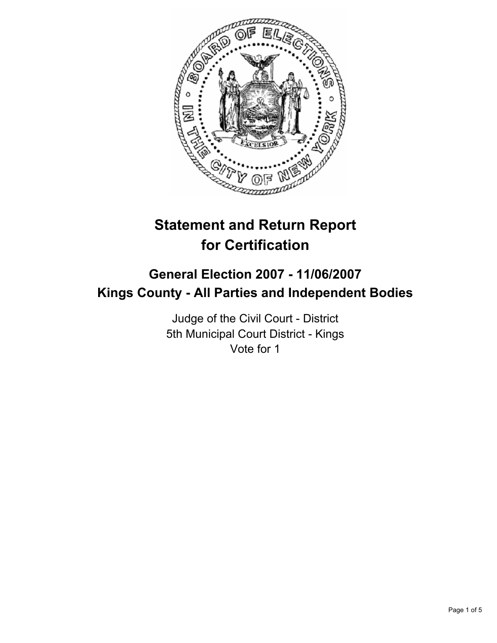

# **Statement and Return Report for Certification**

## **General Election 2007 - 11/06/2007 Kings County - All Parties and Independent Bodies**

Judge of the Civil Court - District 5th Municipal Court District - Kings Vote for 1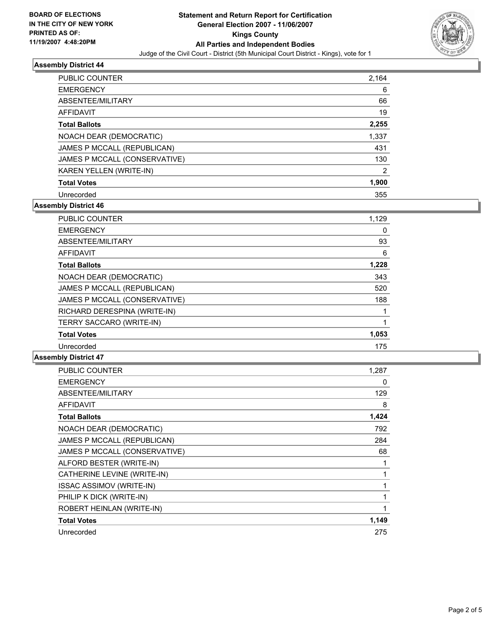

#### **Assembly District 44**

| <b>PUBLIC COUNTER</b>         | 2,164 |
|-------------------------------|-------|
| <b>EMERGENCY</b>              | 6     |
| ABSENTEE/MILITARY             | 66    |
| AFFIDAVIT                     | 19    |
| <b>Total Ballots</b>          | 2,255 |
| NOACH DEAR (DEMOCRATIC)       | 1,337 |
| JAMES P MCCALL (REPUBLICAN)   | 431   |
| JAMES P MCCALL (CONSERVATIVE) | 130   |
| KAREN YELLEN (WRITE-IN)       | 2     |
| <b>Total Votes</b>            | 1,900 |
| Unrecorded                    | 355   |

### **Assembly District 46**

| PUBLIC COUNTER                | 1,129 |
|-------------------------------|-------|
| <b>EMERGENCY</b>              | 0     |
| ABSENTEE/MILITARY             | 93    |
| AFFIDAVIT                     | 6     |
| <b>Total Ballots</b>          | 1,228 |
| NOACH DEAR (DEMOCRATIC)       | 343   |
| JAMES P MCCALL (REPUBLICAN)   | 520   |
| JAMES P MCCALL (CONSERVATIVE) | 188   |
| RICHARD DERESPINA (WRITE-IN)  |       |
| TERRY SACCARO (WRITE-IN)      |       |
| <b>Total Votes</b>            | 1,053 |
| Unrecorded                    | 175   |

#### **Assembly District 47**

| PUBLIC COUNTER                  | 1,287 |
|---------------------------------|-------|
| <b>EMERGENCY</b>                | 0     |
| ABSENTEE/MILITARY               | 129   |
| <b>AFFIDAVIT</b>                | 8     |
| <b>Total Ballots</b>            | 1,424 |
| NOACH DEAR (DEMOCRATIC)         | 792   |
| JAMES P MCCALL (REPUBLICAN)     | 284   |
| JAMES P MCCALL (CONSERVATIVE)   | 68    |
| ALFORD BESTER (WRITE-IN)        |       |
| CATHERINE LEVINE (WRITE-IN)     |       |
| <b>ISSAC ASSIMOV (WRITE-IN)</b> |       |
| PHILIP K DICK (WRITE-IN)        |       |
| ROBERT HEINLAN (WRITE-IN)       |       |
| <b>Total Votes</b>              | 1,149 |
| Unrecorded                      | 275   |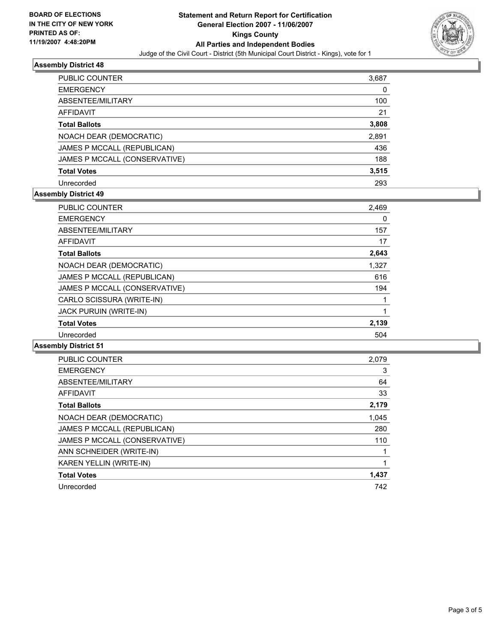

#### **Assembly District 48**

| <b>PUBLIC COUNTER</b>         | 3,687 |
|-------------------------------|-------|
| <b>EMERGENCY</b>              | 0     |
| ABSENTEE/MILITARY             | 100   |
| <b>AFFIDAVIT</b>              | 21    |
| <b>Total Ballots</b>          | 3,808 |
| NOACH DEAR (DEMOCRATIC)       | 2,891 |
| JAMES P MCCALL (REPUBLICAN)   | 436   |
| JAMES P MCCALL (CONSERVATIVE) | 188   |
| <b>Total Votes</b>            | 3,515 |
| Unrecorded                    | 293   |

#### **Assembly District 49**

| <b>PUBLIC COUNTER</b>         | 2,469 |
|-------------------------------|-------|
| <b>EMERGENCY</b>              | 0     |
| ABSENTEE/MILITARY             | 157   |
| <b>AFFIDAVIT</b>              | 17    |
| <b>Total Ballots</b>          | 2,643 |
| NOACH DEAR (DEMOCRATIC)       | 1,327 |
| JAMES P MCCALL (REPUBLICAN)   | 616   |
| JAMES P MCCALL (CONSERVATIVE) | 194   |
| CARLO SCISSURA (WRITE-IN)     |       |
| <b>JACK PURUIN (WRITE-IN)</b> |       |
| <b>Total Votes</b>            | 2,139 |
| Unrecorded                    | 504   |

#### **Assembly District 51**

| <b>PUBLIC COUNTER</b>         | 2,079 |
|-------------------------------|-------|
| <b>EMERGENCY</b>              | 3     |
| ABSENTEE/MILITARY             | 64    |
| AFFIDAVIT                     | 33    |
| <b>Total Ballots</b>          | 2,179 |
| NOACH DEAR (DEMOCRATIC)       | 1,045 |
| JAMES P MCCALL (REPUBLICAN)   | 280   |
| JAMES P MCCALL (CONSERVATIVE) | 110   |
| ANN SCHNEIDER (WRITE-IN)      |       |
| KAREN YELLIN (WRITE-IN)       |       |
| <b>Total Votes</b>            | 1,437 |
| Unrecorded                    | 742   |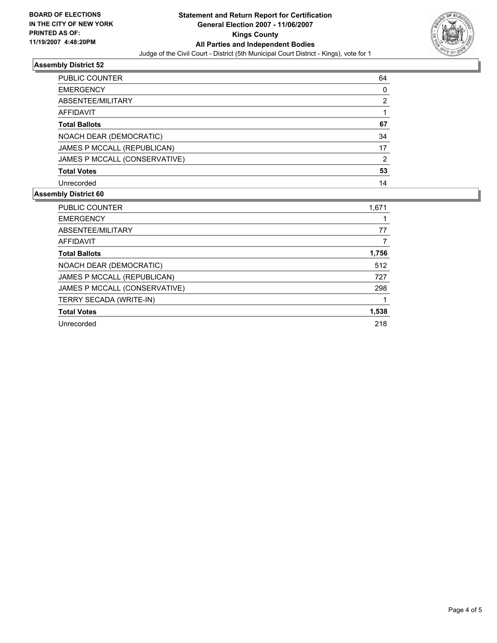

#### **Assembly District 52**

| PUBLIC COUNTER                | 64 |
|-------------------------------|----|
| <b>EMERGENCY</b>              |    |
| ABSENTEE/MILITARY             | າ  |
| <b>AFFIDAVIT</b>              |    |
| <b>Total Ballots</b>          | 67 |
| NOACH DEAR (DEMOCRATIC)       | 34 |
| JAMES P MCCALL (REPUBLICAN)   | 17 |
| JAMES P MCCALL (CONSERVATIVE) | າ  |
| <b>Total Votes</b>            | 53 |
| Unrecorded                    | 14 |

#### **Assembly District 60**

| <b>PUBLIC COUNTER</b>         | 1,671 |
|-------------------------------|-------|
| <b>EMERGENCY</b>              |       |
| ABSENTEE/MILITARY             | 77    |
| <b>AFFIDAVIT</b>              |       |
| <b>Total Ballots</b>          | 1,756 |
| NOACH DEAR (DEMOCRATIC)       | 512   |
| JAMES P MCCALL (REPUBLICAN)   | 727   |
| JAMES P MCCALL (CONSERVATIVE) | 298   |
| TERRY SECADA (WRITE-IN)       |       |
| <b>Total Votes</b>            | 1,538 |
| Unrecorded                    | 218   |